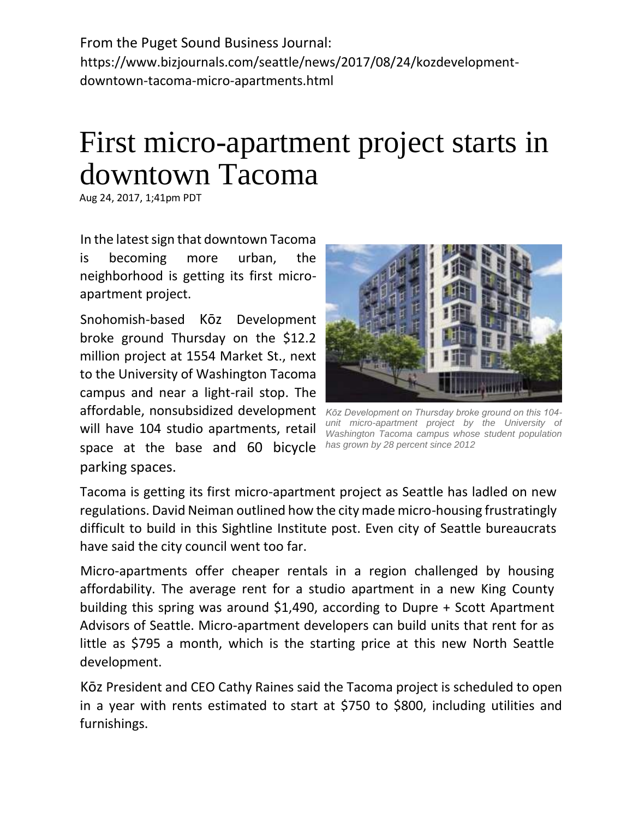From the Puget Sound Business Journal: https://www.bizjournals.com/seattle/news/2017/08/24/kozdevelopmentdowntown-tacoma-micro-apartments.html

## First micro-apartment project starts in downtown Tacoma

Aug 24, 2017, 1;41pm PDT

In the latest sign that downtown Tacoma is becoming more urban, the neighborhood is getting its first microapartment project.

Snohomish-based Kōz Development broke ground Thursday on the \$12.2 million project at 1554 Market St., next to the University of Washington Tacoma campus and near a light-rail stop. The affordable, nonsubsidized development *Kōz Development on Thursday broke ground on this 104* will have 104 studio apartments, retail space at the base and 60 bicycle parking spaces.



*unit micro-apartment project by the University of Washington Tacoma campus whose student population has grown by 28 percent since 2012*

Tacoma is getting its first micro-apartment project as Seattle has ladled on new regulations. David Neiman outlined how the city made micro-housing frustratingly difficult to build in this Sightline Institute post. Even city of Seattle bureaucrats have said the city council went too far.

Micro-apartments offer cheaper rentals in a region challenged by housing affordability. The average rent for a studio apartment in a new King County building this spring was around \$1,490, according to Dupre + Scott Apartment Advisors of Seattle. Micro-apartment developers can build units that rent for as little as \$795 a month, which is the starting price at this new North Seattle development.

Kōz President and CEO Cathy Raines said the Tacoma project is scheduled to open in a year with rents estimated to start at \$750 to \$800, including utilities and furnishings.